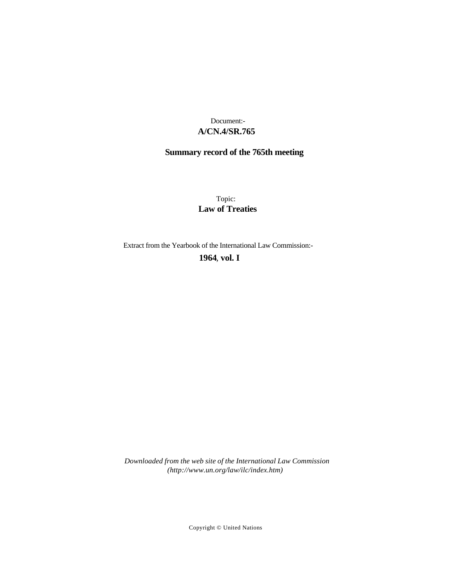## **A/CN.4/SR.765** Document:-

# **Summary record of the 765th meeting**

Topic: **Law of Treaties**

Extract from the Yearbook of the International Law Commission:-

**1964** , **vol. I**

*Downloaded from the web site of the International Law Commission (http://www.un.org/law/ilc/index.htm)*

Copyright © United Nations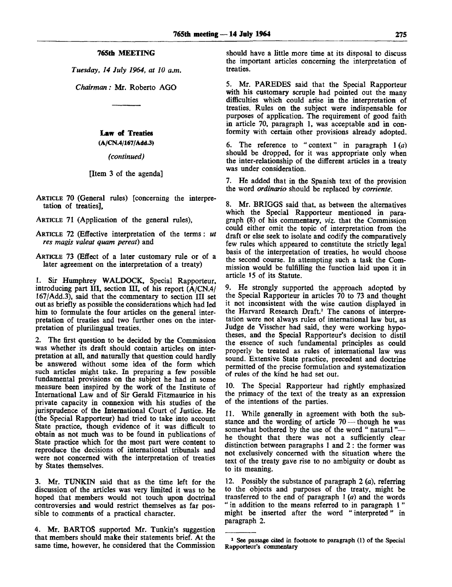#### **765th MEETING**

*Tuesday, 14 July 1964, at 10 a.m.*

*Chairman:* Mr. Roberto AGO

## **Law** of **Treaties**

**(A/CN.4/167/Add.3)**

*(continued)*

#### [Item 3 of the agenda]

- ARTICLE 70 (General rules) [concerning the interpretation of treaties],
- ARTICLE 71 (Application of the general rules),
- ARTICLE 72 (Effective interpretation of the terms: *ut res magis valeat quam pereat)* and
- ARTICLE 73 (Effect of a later customary rule or of a later agreement on the interpretation of a treaty)

1. Sir Humphrey WALDOCK, Special Rapporteur, introducing part III, section III, of his report (A/CN.4/ 167/Add.3), said that the commentary to section III set out as briefly as possible the considerations which had led him to formulate the four articles on the general interpretation of treaties and two further ones on the interpretation of plurilingual treaties.

2. The first question to be decided by the Commission was whether its draft should contain articles on interpretation at all, and naturally that question could hardly be answered without some idea of the form which such articles might take. In preparing a few possible fundamental provisions on the subject he had in some measure been inspired by the work of the Institute of International Law and of Sir Gerald Fitzmaurice in his private capacity in connexion with his studies of the jurisprudence of the International Court of Justice. He (the Special Rapporteur) had tried to take into account State practice, though evidence of it was difficult to obtain as not much was to be found in publications of State practice which for the most part were content to reproduce the decisions of international tribunals and were not concerned with the interpretation of treaties by States themselves.

3. Mr. TUNKIN said that as the time left for the discussion of the articles was very limited it was to be hoped that members would not touch upon doctrinal controversies and would restrict themselves as far possible to comments of a practical character.

4. Mr. BARTOS supported Mr. Tunkin's suggestion that members should make their statements brief. At the same time, however, he considered that the Commission should have a little more time at its disposal to discuss the important articles concerning the interpretation of treaties.

5. Mr. PAREDES said that the Special Rapporteur with his customary scruple had pointed out the many difficulties which could arise in the interpretation of treaties. Rules on the subject were indispensable for purposes of application. The requirement of good faith in article 70, paragraph 1, was acceptable and in conformity with certain other provisions already adopted.

6. The reference to " context" in paragraph 1 *(a)* should be dropped, for it was appropriate only when the inter-relationship of the different articles in a treaty was under consideration.

7. He added that in the Spanish text of the provision the word *ordinario* should be replaced by *corriente.*

8. Mr. BRIGGS said that, as between the alternatives which the Special Rapporteur mentioned in paragraph (8) of his commentary, *viz.* that the Commission could either omit the topic of interpretation from the draft or else seek to isolate and codify the comparatively few rules which appeared to constitute the strictly legal basis of the interpretation of treaties, he would choose the second course. In attempting such a task the Commission would be fulfilling the function laid upon it in article 15 of its Statute.

9. He strongly supported the approach adopted by the Special Rapporteur in articles 70 to 73 and thought it not inconsistent with the wise caution displayed in the Harvard Research Draft.<sup>1</sup> The canons of interpretation were not always rules of international law but, as Judge de Visscher had said, they were working hypotheses, and the Special Rapporteur's decision to distil the essence of such fundamental principles as could properly be treated as rules of international law was sound. Extensive State practice, precedent and doctrine permitted of the precise formulation and systematization of rules of the kind he had set out.

10. The Special Rapporteur had rightly emphasized the primacy of the text of the treaty as an expression of the intentions of the parties.

11. While generally in agreement with both the substance and the wording of article 70 — though he was somewhat bothered by the use of the word " natural " he thought that there was not a sufficiently clear distinction between paragraphs 1 and 2 : the former was not exclusively concerned with the situation where the text of the treaty gave rise to no ambiguity or doubt as to its meaning.

12. Possibly the substance of paragraph 2 *(a),* referring to the objects and purposes of the treaty, might be transferred to the end of paragraph 1 *(a)* and the words " in addition to the means referred to in paragraph 1" might be inserted after the word " interpreted" in paragraph 2.

**<sup>1</sup> See passage cited in footnote to paragraph (1) of the Special Rapporteur's commentary**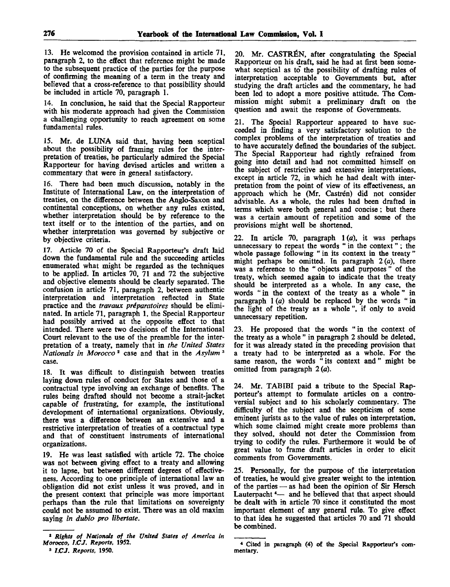13. He welcomed the provision contained in article 71, paragraph 2, to the effect that reference might be made to the subsequent practice of the parties for the purpose of confirming the meaning of a term in the treaty and believed that a cross-reference to that possibility should be included in article 70, paragraph 1.

14. In conclusion, he said that the Special Rapporteur with his moderate approach had given the Commission a challenging opportunity to reach agreement on some fundamental rules.

15. Mr. de LUNA said that, having been sceptical about the possibility of framing rules for the interpretation of treaties, he particularly admired the Special Rapporteur for having devised articles and written a commentary that were in general satisfactory.

16. There had been much discussion, notably in the Institute of International Law, on the interpretation of treaties, on the difference between the Anglo-Saxon and continental conceptions, on whether any rules existed, whether interpretation should be by reference to the text itself or to the intention of the parties, and on whether interpretation was governed by subjective or by objective criteria.

17. Article 70 of the Special Rapporteur's draft laid down the fundamental rule and the succeeding articles enumerated what might be regarded as the techniques to be applied. In articles 70, 71 and 72 the subjective and objective elements should be clearly separated. The confusion in article 71, paragraph 2, between authentic interpretation and interpretation reflected in State practice and the *travaux preparatoires* should be eliminated. In article 71, paragraph 1, the Special Rapporteur had possibly arrived at the opposite effect to that intended. There were two decisions of the International Court relevant to the use of the preamble for the interpretation of a treaty, namely that in *the United States Nationals in Morocco<sup>2</sup>* case and that in the *Asylum<sup>3</sup>* case.

18. It was difficult to distinguish between treaties laying down rules of conduct for States and those of a contractual type involving an exchange of benefits. The rules being drafted should not become a strait-jacket capable of frustrating, for example, the institutional development of international organizations. Obviously, there was a difference between an extensive and a restrictive interpretation of treaties of a contractual type and that of constituent instruments of international organizations.

19. He was least satisfied with article 72. The choice was not between giving effect to a treaty and allowing it to lapse, but between different degrees of effectiveness. According to one principle of international law an obligation did not exist unless it was proved, and in the present context that principle was more important perhaps than the rule that limitations on sovereignty could not be assumed to exist. There was an old maxim saying *in dubio pro libertate.*

20. Mr. CASTRÉN, after congratulating the Special Rapporteur on his draft, said he had at first been somewhat sceptical as to the possibility of drafting rules of interpretation acceptable to Governments but, after studying the draft articles and the commentary, he had been led to adopt a more positive attitude. The Commission might submit a preliminary draft on the question and await the response of Governments.

21. The Special Rapporteur appeared to have succeeded in finding a very satisfactory solution to the complex problems of the interpretation of treaties and to have accurately defined the boundaries of the subject. The Special Rapporteur had rightly refrained from going into detail and had not committed himself on the subject of restrictive and extensive interpretations, except in article 72, in which he had dealt with interpretation from the point of view of its effectiveness, an approach which he (Mr. Castren) did not consider advisable. As a whole, the rules had been drafted in terms which were both general and concise; but there was a certain amount of repetition and some of the provisions might well be shortened.

22. In article 70, paragraph  $1(a)$ , it was perhaps unnecessary to repeat the words " in the context" ; the whole passage following " in its context in the treaty" might perhaps be omitted. In paragraph *2 (a),* there was a reference to the " objects and purposes " of the treaty, which seemed again to indicate that the treaty should be interpreted as a whole. In any case, the words " in the context of the treaty as a whole" in paragraph  $1(a)$  should be replaced by the words " in the light of the treaty as a whole ", if only to avoid unnecessary repetition.

23. He proposed that the words " in the context of the treaty as a whole " in paragraph 2 should be deleted, for it was already stated in the preceding provision that a treaty had to be interpreted as a whole. For the same reason, the words "its context and" might be omitted from paragraph *2 (a).*

24. Mr. TABIBI paid a tribute to the Special Rapporteur's attempt to formulate articles on a controversial subject and to his scholarly commentary. The difficulty of the subject and the scepticism of some eminent jurists as to the value of rules on interpretation, which some claimed might create more problems than they solved, should not deter the Commission from trying to codify the rules. Furthermore it would be of great value to frame draft articles in order to elicit comments from Governments.

25. Personally, for the purpose of the interpretation of treaties, he would give greater weight to the intention of the parties — as had been the opinion of Sir Hersch Lauterpacht  $4$ — and he believed that that aspect should be dealt with in article 70 since it constituted the most important element of any general rule. To give effect to that idea he suggested that articles 70 and 71 should be combined.

<sup>\*</sup> *Rights of Nationals of the United States of America in Morocco, LCJ. Reports,* 1952.

<sup>3</sup>  *1.CJ. Reports,* 1950.

<sup>4</sup> Cited in paragraph (4) of the Special Rapporteur's commentary.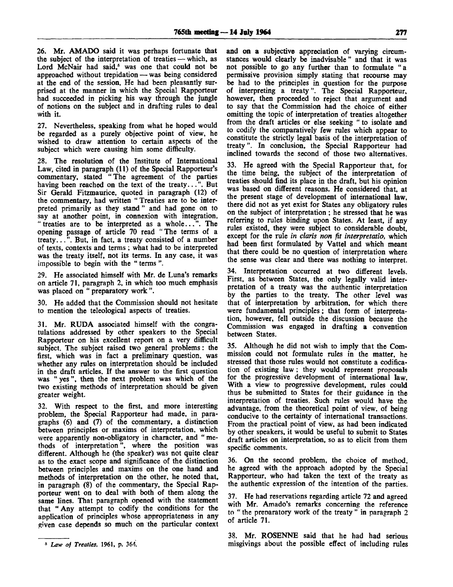26. Mr. AMADO said it was perhaps fortunate that the subject of the interpretation of treaties — which, as Lord McNair had said,<sup>5</sup> was one that could not be approached without trepidation — was being considered at the end of the session. He had been pleasantly surprised at the manner in which the Special Rapporteur had succeeded in picking his way through the jungle of notions on the subject and in drafting rules to deal with it.

27. Nevertheless, speaking from what he hoped would be regarded as a purely objective point of view, he wished to draw attention to certain aspects of the subject which were causing him some difficulty.

28. The resolution of the Institute of International Law, cited in paragraph (11) of the Special Rapporteur's commentary, stated "The agreement of the parties having been reached on the text of the treaty...". But Sir Gerald Fitzmaurice, quoted in paragraph (12) of the commentary, had written " Treaties are to be interpreted primarily as they stand " and had gone on to say at another point, in connexion with integration, "treaties are to be interpreted as a whole...". The opening passage of article 70 read "The terms of a treaty...". But, in fact, a treaty consisted of a number of texts, contexts and terms ; what had to be interpreted was the treaty itself, not its terms. In any case, it was impossible to begin with the " terms ".

29. He associated himself with Mr. de Luna's remarks on article 71, paragraph 2, in which too much emphasis was placed on " preparatory work ".

30. He added that the Commission should not hesitate to mention the teleological aspects of treaties.

31. Mr. RUDA associated himself with the congratulations addressed by other speakers to the Special Rapporteur on his excellent report on a very difficult subject. The subject raised two general problems: the first, which was in fact a preliminary question, was whether any rules on interpretation should be included in the draft articles. If the answer to the first question was " yes ", then the next problem was which of the two existing methods of interpretation should be given greater weight.

32. With respect to the first, and more interesting problem, the Special Rapporteur had made, in paragraphs (6) and (7) of the commentary, a distinction between principles or maxims of interpretation, which were apparently non-obligatory in character, and " methods of interpretation", where the position was different. Although he (the speaker) was not quite clear as to the exact scope and significance of the distinction between principles and maxims on the one hand and methods of interpretation on the other, he noted that, in paragraph (8) of the commentary, the Special Rapporteur went on to deal with both of them along the same lines. That paragraph opened with the statement that " Any attempt to codify the conditions for the application of principles whose appropriateness in any given case depends so much on the particular context

**and** on a subjective appreciation of varying circumstances would clearly be inadvisable " and that it was not possible to go any further than to formulate "a permissive provision simply stating that recourse may be had to the principles in question for the purpose of interpreting a treaty". The Special Rapporteur, however, then proceeded to reject that argument and to say that the Commission had the choice of either omitting the topic of interpretation of treaties altogether from the draft articles or else seeking " to isolate and to codify the comparatively few rules which appear to constitute the strictly legal basis of the interpretation of treaty". In conclusion, the Special Rapporteur had inclined towards the second of those two alternatives.

33. He agreed with the Special Rapporteur that, for the time being, the subject of the interpretation of treaties should find its place in the draft, but his opinion was based on different reasons. He considered that, at the present stage of development of international law, there did not as yet exist for States any obligatory rules on the subject of interpretation ; he stressed that he was referring to rules binding upon States. At least, if any rules existed, they were subject to considerable doubt, **except for the rule** *in claris non fit interpretatio,* **which** had been first formulated by Vattel and which meant that there could be no question of interpretation where the sense was clear and there was nothing to interpret.

34. Interpretation occurred at two different levels. First, as between States, the only legally valid interpretation of a treaty was the authentic interpretation by the parties to the treaty. The other level was that of interpretation by arbitration, for which there were fundamental principles ; that form of interpretation, however, fell outside the discussion because the Commission was engaged in drafting a convention between States.

35. Although he did not wish to imply that the Commission could not formulate rules in the matter, he stressed that those rules would not constitute a codification of existing law ; they would represent proposals for the progressive development of international law. With a view to progressive development, rules could thus be submitted to States for their guidance in the interpretation of treaties. Such rules would have the advantage, from the theoretical point of view, of being conducive to the certainty of international transactions. From the practical point of view, as had been indicated by other speakers, it would be useful to submit to States draft articles on interpretation, so as to elicit from them specific comments.

36. On the second problem, the choice of method, he agreed with the approach adopted by the Special Rapporteur, who had taken the text of the treaty as the authentic expression of the intention of the parties.

37. He had reservations regarding article 72 and agreed with Mr. Amado's remarks concerning the reference to " the preparatory work of the treaty " in paragraph 2 of article 71.

38. Mr. ROSENNE said that he had had serious misgivings about the possible effect of including rules

**<sup>5</sup>**  *Law of Treaties,* **1961, p. 364.**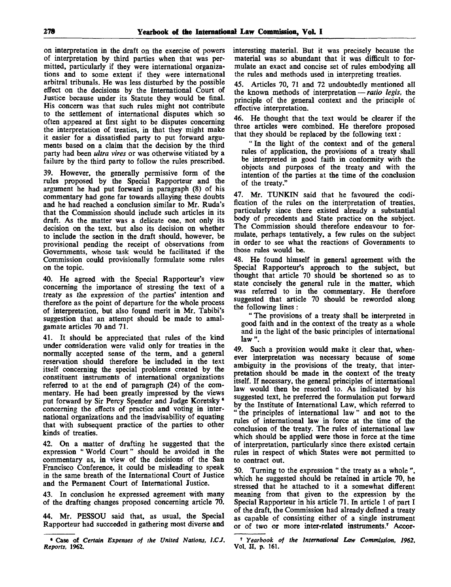on interpretation in the draft on the exercise of powers of interpretation by third parties when that was permitted, particularly if they were international organizations and to some extent if they were international arbitral tribunals. He was less disturbed by the possible effect on the decisions by the International Court of Justice because under its Statute they would be final. His concern was that such rules might not contribute to the settlement of international disputes which so often appeared at first sight to be disputes concerning the interpretation of treaties, in that they might make it easier for a dissatisfied party to put forward arguments based on a claim that the decision by the third party had been *ultra vires* or was otherwise vitiated by a failure by the third party to follow the rules prescribed.

39. However, the generally permissive form of the rules proposed by the Special Rapporteur and the argument he had put forward in paragraph (8) of his commentary had gone far towards allaying these doubts and he had reached a conclusion similar to Mr. Ruda's that the Commission should include such articles in its draft. As the matter was a delicate one, not only its decision on the text, but also its decision on whether to include the section in the draft should, however, be provisional pending the receipt of observations from Governments, whose task would be facilitated if the Commission could provisionally formulate some rules on the topic.

40. He agreed with the Special Rapporteur's view concerning the importance of stressing the text of a treaty as the expression of the parties' intention and therefore as the point of departure for the whole process of interpretation, but also found merit in Mr. Tabibi's suggestion that an attempt should be made to amalgamate articles 70 and 71.

41. It should be appreciated that rules of the kind under consideration were valid only for treaties in the normally accepted sense of the term, and a general reservation should therefore be included in the text itself concerning the special problems created by the constituent instruments of international organizations referred to at the end of paragraph (24) of the commentary. He had been greatly impressed by the views put forward by Sir Percy Spender and Judge Koretsky<sup>6</sup> concerning the effects of practice and voting in international organizations and the inadvisability of equating that with subsequent practice of the parties to other kinds of treaties.

42. On a matter of drafting he suggested that the expression " World Court" should be avoided in the commentary as, in view of the decisions of the San Francisco Conference, it could be misleading to speak in the same breath of the International Court of Justice and the Permanent Court of International Justice.

43. In conclusion he expressed agreement with many of the drafting changes proposed concerning article 70.

44. Mr. PESSOU said that, as usual, the Special Rapporteur had succeeded in gathering most diverse and interesting material. But it was precisely because the material was so abundant that it was difficult to formulate an exact and concise set of rules embodying all the rules and methods used in interpreting treaties.

45. Articles 70, 71 and 72 undoubtedly mentioned all the known methods of interpretation — *ratio legis,* the principle of the general context and the principle of effective interpretation.

46. He thought that the text would be clearer if the three articles were combined. He therefore proposed that they should be replaced by the following text:

" In the light of the context and of the general rules of application, the provisions of a treaty shall be interpreted in good faith in conformity with the objects and purposes of the treaty and with the intention of the parties at the time of the conclusion of the treaty."

47. Mr. TUNKIN said that he favoured the codification of the rules on the interpretation of treaties, particularly since there existed already a substantial body of precedents and State practice on the subject. The Commission should therefore endeavour to formulate, perhaps tentatively, a few rules on the subject in order to see what the reactions of Governments to those rules would be.

48. He found himself in general agreement with the Special Rapporteur's approach to the subject, but thought that article 70 should be shortened so as to state concisely the general rule in the matter, which was referred to in the commentary. He therefore suggested that article 70 should be reworded along the following lines :

" The provisions of a treaty shall be interpreted in good faith and in the context of the treaty as a whole and in the light of the basic principles of international law".

49. Such a provision would make it clear that, whenever interpretation was necessary because of some ambiguity in the provisions of the treaty, that interpretation should be made in the context of the treaty itself. If necessary, the general principles of international law would then be resorted to. As indicated by his suggested text, he preferred the formulation put forward by the Institute of International Law, which referred to " the principles of international law" and not to the rules of international law in force at the time of the conclusion of the treaty. The rules of international law which should be applied were those in force at the time of interpretation, particularly since there existed certain rules in respect of which States were not permitted to to contract out.

50. Turning to the expression " the treaty as a whole ", which he suggested should be retained in article 70, he stressed that he attached to it a somewhat different meaning from that given to the expression by the Special Rapporteur in his article 71. In article 1 of part I of the draft, the Commission had already defined a treaty as capable of consisting either of a single instrument or of two or more inter-related instruments.<sup>7</sup> Accor-

**<sup>•</sup> Case of** *Certain Expenses of the United Nations, l.CJ. Reports,* **1962.**

**<sup>7</sup>**  *Yearbook of the International Law Commission, 1962,* **Vol. II, p. 161.**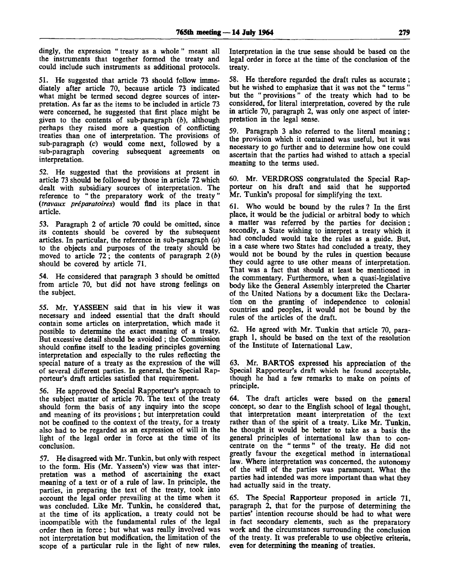dingly, the expression " treaty as a whole " meant all the instruments that together formed the treaty and could include such instruments as additional protocols.

51. He suggested that article 73 should follow immediately after article 70, because article 73 indicated what might be termed second degree sources of interpretation. As far as the items to be included in article 73 were concerned, he suggested that first place might be given to the contents of sub-paragraph *(b),* although perhaps they raised more a question of conflicting treaties than one of interpretation. The provisions of sub-paragraph (c) would come next, followed by a sub-paragraph covering subsequent agreements on interpretation.

52. He suggested that the provisions at present in article 73 should be followed by those in article 72 which dealt with subsidiary sources of interpretation. The reference to " the preparatory work of the treaty" *(travaux preparatoires)* would find its place in that article.

53. Paragraph 2 of article 70 could be omitted, since its contents should be covered by the subsequent articles. In particular, the reference in sub-paragraph *(a)* to the objects and purposes of the treaty should be moved to article 72; the contents of paragraph 2 *(b)* should be covered by article 71.

54. He considered that paragraph 3 should be omitted from article 70, but did not have strong feelings on the subject.

55. Mr. YASSEEN said that in his view it was necessary and indeed essential that the draft should contain some articles on interpretation, which made it possible to determine the exact meaning of a treaty. But excessive detail should be avoided ; the Commission should confine itself to the leading principles governing interpretation and especially to the rules reflecting the special nature of a treaty as the expression of the will of several different parties. In general, the Special Rapporteur's draft articles satisfied that requirement.

56. He approved the Special Rapporteur's approach to the subject matter of article 70. The text of the treaty should form the basis of any inquiry into the scope and meaning of its provisions ; but interpretation could not be confined to the context of the treaty, for a treaty also had to be regarded as an expression of will in the light of the legal order in force at the time of its conclusion.

57. He disagreed with Mr. Tunkin, but only with respect to the form. His (Mr. Yasseen's) view was that interpretation was a method of ascertaining the exact meaning of a text or of a rule of law. In principle, the parties, in preparing the text of the treaty, took into account the legal order prevailing at the time when it was concluded. Like Mr. Tunkin, he considered that, at the time of its application, a treaty could not be incompatible with the fundamental rules of the legal order then in force; but what was really involved was not interpretation but modification, the limitation of the scope of a particular rule in the light of new rules. Interpretation in the true sense should be based on the legal order in force at the time of the conclusion of the treaty.

58. He therefore regarded the draft rules as accurate; but he wished to emphasize that it was not the " terms " but the " provisions " of the treaty which had to be considered, for literal interpretation, covered by the rule in article 70, paragraph 2, was only one aspect of interpretation in the legal sense.

59. Paragraph 3 also referred to the literal meaning; the provision which it contained was useful, but it was necessary to go further and to determine how one could ascertain that the parties had wished to attach a special meaning to the terms used.

60. Mr. VERDROSS congratulated the Special Rapporteur on his draft and said that he supported Mr. Tunkin's proposal for simplifying the text.

61. Who would be bound by the rules? In the first place, it would be the judicial or arbitral body to which a matter was referred by the parties for decision; secondly, a State wishing to interpret a treaty which it had concluded would take the rules as a guide. But, in a case where two States had concluded a treaty, they would not be bound by the rules in question because they could agree to use other means of interpretation. That was a fact that should at least be mentioned in the commentary. Furthermore, when a quasi-legislative body like the General Assembly interpreted the Charter of the United Nations by a document like the Declaration on the granting of independence to colonial countries and peoples, it would not be bound by the rules of the articles of the draft.

62. He agreed with Mr. Tunkin that article 70, paragraph 1, should be based on the text of the resolution of the Institute of International Law.

63. Mr. BARTOS expressed his appreciation of the Special Rapporteur's draft which he found acceptable, though he had a few remarks to make on points of principle.

64. The draft articles were based on the general concept, so dear to the English school of legal thought, that interpretation meant interpretation of the text rather than of the spirit of a treaty. Like Mr. Tunkin, he thought it would be better to take as a basis the general principles of international law than to concentrate on the " terms" of the treaty. He did not greatly favour the exegetical method in international law. Where interpretation was concerned, the autonomy of the will of the parties was paramount. What the parties had intended was more important than what they had actually said in the treaty.

65. The Special Rapporteur proposed in article 71, paragraph 2, that for the purpose of determining the parties' intention recourse should be had to what were in fact secondary elements, such as the preparatory work and the circumstances surrounding the conclusion of the treaty. It was preferable to use objective criteria, even for determining the meaning of treaties.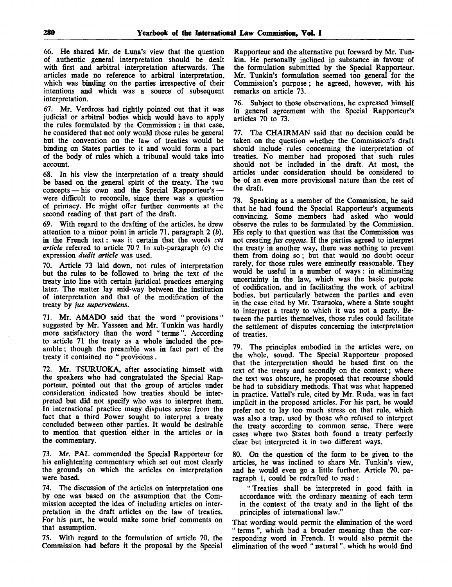66. He shared Mr. de Luna's view that the question of authentic general interpretation should be dealt with first and arbitral interpretation afterwards. The articles made no reference to arbitral interpretation, which was binding on the parties irrespective of their intentions and which was a source of subsequent interpretation.

67. Mr. Verdross had rightly pointed out that it was judicial or arbitral bodies which would have to apply the rules formulated by the Commission; in that case, he considered that not only would those rules be general but the convention on the law of treaties would be binding on States parties to it and would form a part of the body of rules which a tribunal would take into account.

68. In his view the interpretation of a treaty should be based on the general spirit of the treaty. The two concepts — his own and the Special Rapporteur's were difficult to reconcile, since there was a question of primacy. He might offer further comments at the second reading of that part of the draft.

69. With regard to the drafting of the articles, he drew attention to a minor point in article 71, paragraph 2 *(b),* in the French text: was it certain that the words *cet article* referred to article 70 ? In sub-paragraph (c) the expression *dudit article* was used.

70. Article 73 laid down, not rules of interpretation but the rules to be followed to bring the text of the treaty into line with certain juridical practices emerging later. The matter lay mid-way between the institution of interpretation and that of the modification of the treaty by *jus superveniens.*

71. Mr. AMADO said that the word "provisions" suggested by Mr. Yasseen and Mr. Tunkin was hardly more satisfactory than the word " terms". According to article 71 the treaty as a whole included the preamble ; though the preamble was in fact part of the treaty it contained no " provisions .

72. Mr. TSURUOKA, after associating himself with the speakers who had congratulated the Special Rapporteur, pointed out that the group of articles under consideration indicated how treaties should be interpreted but did not specify who was to interpret them. In international practice many disputes arose from the fact that a third Power sought to interpret a treaty concluded between other parties. It would be desirable to mention that question either in the articles or in the commentary.

73. Mr. PAL commended the Special Rapporteur for his enlightening commentary which set out most clearly the grounds on which the articles on interpretation were based.

74. The discussion of the articles on interpretation one by one was based on the assumption that the Commission accepted the idea of including articles on interpretation in the draft articles on the law of treaties. For his part, he would make some brief comments on that assumption.

75. With regard to the formulation of article 70, the Commission had before it the proposal by the Special Rapporteur and the alternative put forward by Mr. Tunkin. He personally inclined in substance in favour of the formulation submitted by the Special Rapporteur. Mr. Tunkin's formulation seemed too general for the Commission's purpose; he agreed, however, with his remarks on article 73.

76. Subject to those observations, he expressed himself in general agreement with the Special Rapporteur's articles 70 to 73.

77. The CHAIRMAN said that no decision could be taken on the question whether the Commission's draft should include rules concerning the interpretation of treaties. No member had proposed that such rules should not be included in the draft. At most, the articles under consideration should be considered to be of an even more provisional nature than the rest of the draft.

78. Speaking as a member of the Commission, he said that he had found the Special Rapporteur's arguments convincing. Some members had asked who would observe the rules to be formulated by the Commission. His reply to that question was that the Commission was not creating *jus cogens.* If the parties agreed to interpret the treaty in another way, there was nothing to prevent them from doing so; but that would no doubt occur rarely, for those rules were eminently reasonable. They would be useful in a number of ways: in eliminating uncertainty in the law, which was the basic purpose of codification, and in facilitating the work of arbitral bodies, but particularly between the parties and even in the case cited by Mr. Tsuruoka, where a State sought to interpret a treaty to which it was not a party. Between the parties themselves, those rules could facilitate the settlement of disputes concerning the interpretation of treaties.

79. The principles embodied in the articles were, on the whole, sound. The Special Rapporteur proposed that the interpretation should be based first on the text of the treaty and secondly on the context; where the text was obscure, he proposed that recourse should be had to subsidiary methods. That was what happened in practice. Vattel's rule, cited by Mr. Ruda, was in fact implicit in the proposed articles. For his part, he would prefer not to lay too much stress on that rule, which was also a trap, used by those who refused to interpret the treaty according to common sense. There were cases where two States both found a treaty perfectly clear but interpreted it in two different ways.

80. On the question of the form to be given to the articles, he was inclined to share Mr. Tunkin's view, and he would even go a little further. Article 70, paragraph 1, could be redrafted to read :

" Treaties shall be interpreted in good faith in accordance with the ordinary meaning of each term in the context of the treaty and in the light of the principles of international law."

That wording would permit the elimination of the word " terms ", which had a broader meaning than the corresponding word in French. It would also permit the elimination of the word " natural ", which he would find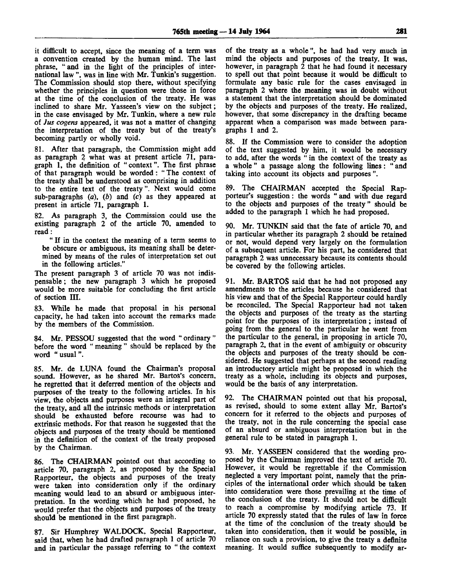it difficult to accept, since the meaning of a term was a convention created by the human mind. The last phrase, "and in the light of the principles of international law ", was in line with Mr. Tunkin's suggestion. The Commission should stop there, without specifying whether the principles in question were those in force at the time of the conclusion of the treaty. He was inclined to share Mr. Yasseen's view on the subject; in the case envisaged by Mr. Tunkin, where a new rule of *Jus cogens* appeared, it was not a matter of changing the interpretation of the treaty but of the treaty's becoming partly or wholly void.

81. After that paragraph, the Commission might add as paragraph 2 what was at present article 71, paragraph 1, the definition of "context". The first phrase of that paragraph would be worded: " The context of the treaty shall be understood as comprising in addition to the entire text of the treaty". Next would come sub-paragraphs *(a), (b)* and *(c)* as they appeared at present in article 71, paragraph 1.

82. As paragraph 3, the Commission could use the existing paragraph 2 of the article 70, amended to read:

" If in the context the meaning of a term seems to be obscure or ambiguous, its meaning shall be determined by means of the rules of interpretation set out in the following articles."

The present paragraph 3 of article 70 was not indispensable ; the new paragraph 3 which he proposed would be more suitable for concluding the first article of section III.

83. While he made that proposal in his personal capacity, he had taken into account the remarks made by the members of the Commission.

84. Mr. PESSOU suggested that the word " ordinary " before the word " meaning " should be replaced by the word " usual".

85. Mr. de LUNA found the Chairman's proposal sound. However, as he shared Mr. Bartos's concern, he regretted that it deferred mention of the objects and purposes of the treaty to the following articles. In his view, the objects and purposes were an integral part of the treaty, and all the intrinsic methods or interpretation should be exhausted before recourse was had to extrinsic methods. For that reason he suggested that the objects and purposes of the treaty should be mentioned in the definition of the context of the treaty proposed by the Chairman.

86. The CHAIRMAN pointed out that according to article 70, paragraph 2, as proposed by the Special Rapporteur, the objects and purposes of the treaty were taken into consideration only if the ordinary meaning would lead to an absurd or ambiguous interpretation. In the wording which he had proposed, he would prefer that the objects and purposes of the treaty should be mentioned in the first paragraph.

87. Sir Humphrey WALDOCK, Special Rapporteur, said that, when he had drafted paragraph 1 of article 70 and in particular the passage referring to " the context of the treaty as a whole", he had had very much in mind the objects and purposes of the treaty. It was, however, in paragraph 2 that he had found it necessary to spell out that point because it would be difficult to formulate any basic rule for the cases envisaged in paragraph 2 where the meaning was in doubt without a statement that the interpretation should be dominated by the objects and purposes of the treaty. He realized, however, that some discrepancy in the drafting became apparent when a comparison was made between paragraphs 1 and 2.

88. If the Commission were to consider the adoption of the text suggested by him, it would be necessary to add, after the words " in the context of the treaty as a whole " a passage along the following lines: " and taking into account its objects and purposes ".

89. The CHAIRMAN accepted the Special Rapporteur's suggestion: the words " and with due regard to the objects and purposes of the treaty" should be added to the paragraph 1 which he had proposed.

90. Mr. TUNKIN said that the fate of article 70, and in particular whether its paragraph 2 should be retained or not, would depend very largely on the formulation of a subsequent article. For his part, he considered that paragraph 2 was unnecessary because its contents should be covered by the following articles.

91. Mr. BARTOS said that he had not proposed any amendments to the articles because he considered that his view and that of the Special Rapporteur could hardly be reconciled. The Special Rapporteur had not taken the objects and purposes of the treaty as the starting point for the purposes of its interpretation; instead of going from the general to the particular he went from the particular to the general, in proposing in article 70, paragraph 2, that in the event of ambiguity or obscurity the objects and purposes of the treaty should be considered. He suggested that perhaps at the second reading an introductory article might be proposed in which the treaty as a whole, including its objects and purposes, would be the basis of any interpretation.

92. The CHAIRMAN pointed out that his proposal, as revised, should to some extent allay Mr. Bartos's concern for it referred to the objects and purposes of the treaty, not in the rule concerning the special case of an absurd or ambiguous interpretation but in the general rule to be stated in paragraph 1.

93. Mr. YASSEEN considered that the wording proposed by the Chairman improved the text of article 70. However, it would be regrettable if the Commission neglected a very important point, namely that the principles of the international order which should be taken into consideration were those prevailing at the time of the conclusion of the treaty. It should not be difficult to reach a compromise by modifying article 73. If article 70 expressly stated that the rules of law in force at the time of the conclusion of the treaty should be taken into consideration, then it would be possible, in reliance on such a provision, to give the treaty a definite meaning. It would suffice subsequently to modify ar